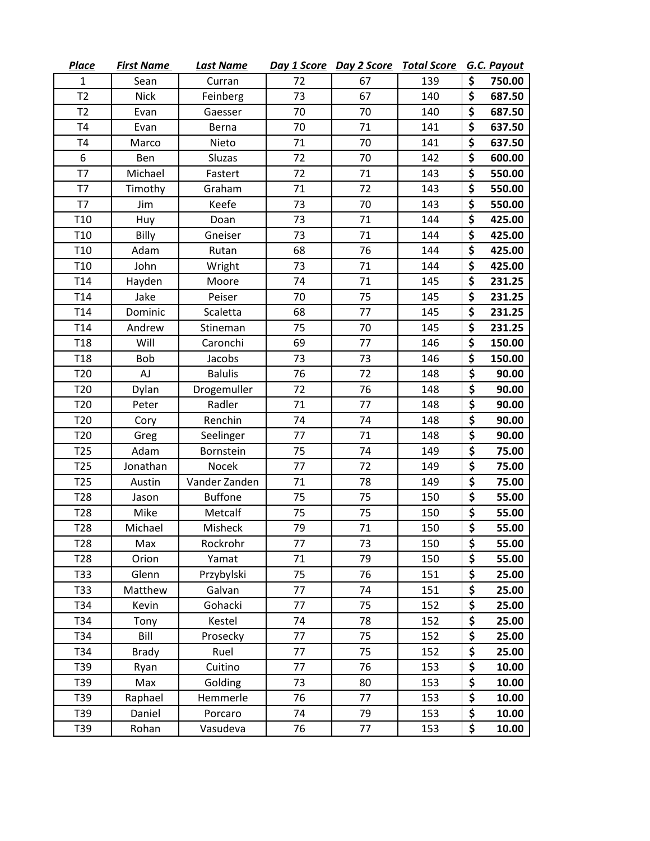| <b>Place</b>     | <b>First Name</b> | <b>Last Name</b> |    | Day 1 Score Day 2 Score | <b>Total Score</b> |                                 | G.C. Payout |
|------------------|-------------------|------------------|----|-------------------------|--------------------|---------------------------------|-------------|
| 1                | Sean              | Curran           | 72 | 67                      | 139                | \$                              | 750.00      |
| T <sub>2</sub>   | <b>Nick</b>       | Feinberg         | 73 | 67                      | 140                | \$                              | 687.50      |
| T2               | Evan              | Gaesser          | 70 | 70                      | 140                | \$                              | 687.50      |
| T <sub>4</sub>   | Evan              | Berna            | 70 | 71                      | 141                | \$                              | 637.50      |
| T <sub>4</sub>   | Marco             | Nieto            | 71 | 70                      | 141                | \$                              | 637.50      |
| 6                | Ben               | Sluzas           | 72 | 70                      | 142                | \$                              | 600.00      |
| T7               | Michael           | Fastert          | 72 | 71                      | 143                | \$                              | 550.00      |
| T7               | Timothy           | Graham           | 71 | 72                      | 143                | \$                              | 550.00      |
| T7               | Jim               | Keefe            | 73 | 70                      | 143                | \$                              | 550.00      |
| T <sub>10</sub>  | Huy               | Doan             | 73 | 71                      | 144                | \$                              | 425.00      |
| T <sub>10</sub>  | Billy             | Gneiser          | 73 | 71                      | 144                | \$                              | 425.00      |
| T <sub>10</sub>  | Adam              | Rutan            | 68 | 76                      | 144                | \$                              | 425.00      |
| T <sub>10</sub>  | John              | Wright           | 73 | 71                      | 144                | \$                              | 425.00      |
| T <sub>14</sub>  | Hayden            | Moore            | 74 | 71                      | 145                | \$                              | 231.25      |
| T <sub>14</sub>  | Jake              | Peiser           | 70 | 75                      | 145                | \$                              | 231.25      |
| T <sub>14</sub>  | Dominic           | Scaletta         | 68 | 77                      | 145                | \$                              | 231.25      |
| T <sub>14</sub>  | Andrew            | Stineman         | 75 | 70                      | 145                | $\overline{\boldsymbol{\zeta}}$ | 231.25      |
| T <sub>18</sub>  | Will              | Caronchi         | 69 | 77                      | 146                | \$                              | 150.00      |
| T <sub>18</sub>  | Bob               | Jacobs           | 73 | 73                      | 146                | \$                              | 150.00      |
| T <sub>20</sub>  | AJ                | <b>Balulis</b>   | 76 | 72                      | 148                | \$                              | 90.00       |
| T <sub>20</sub>  | Dylan             | Drogemuller      | 72 | 76                      | 148                | \$                              | 90.00       |
| T <sub>20</sub>  | Peter             | Radler           | 71 | 77                      | 148                | \$                              | 90.00       |
| T <sub>20</sub>  | Cory              | Renchin          | 74 | 74                      | 148                | \$                              | 90.00       |
| T <sub>20</sub>  | Greg              | Seelinger        | 77 | 71                      | 148                | \$                              | 90.00       |
| T <sub>25</sub>  | Adam              | Bornstein        | 75 | 74                      | 149                | \$                              | 75.00       |
| T <sub>25</sub>  | Jonathan          | Nocek            | 77 | 72                      | 149                | \$                              | 75.00       |
| T <sub>25</sub>  | Austin            | Vander Zanden    | 71 | 78                      | 149                | \$                              | 75.00       |
| T <sub>28</sub>  | Jason             | <b>Buffone</b>   | 75 | 75                      | 150                | \$                              | 55.00       |
| T <sub>28</sub>  | Mike              | Metcalf          | 75 | 75                      | 150                | \$                              | 55.00       |
| T <sub>28</sub>  | Michael           | Misheck          | 79 | 71                      | 150                | \$                              | 55.00       |
| T <sub>2</sub> 8 | Max               | Rockrohr         | 77 | 73                      | 150                | \$                              | 55.00       |
| T <sub>28</sub>  | Orion             | Yamat            | 71 | 79                      | 150                | \$                              | 55.00       |
| T33              | Glenn             | Przybylski       | 75 | 76                      | 151                | \$                              | 25.00       |
| T33              | Matthew           | Galvan           | 77 | 74                      | 151                | \$                              | 25.00       |
| T34              | Kevin             | Gohacki          | 77 | 75                      | 152                | \$                              | 25.00       |
| T34              | Tony              | Kestel           | 74 | 78                      | 152                | \$                              | 25.00       |
| T34              | Bill              | Prosecky         | 77 | 75                      | 152                | \$                              | 25.00       |
| T34              | <b>Brady</b>      | Ruel             | 77 | 75                      | 152                | \$                              | 25.00       |
| T39              | Ryan              | Cuitino          | 77 | 76                      | 153                | \$                              | 10.00       |
| T39              | Max               | Golding          | 73 | 80                      | 153                | \$                              | 10.00       |
| T39              | Raphael           | Hemmerle         | 76 | 77                      | 153                | \$                              | 10.00       |
| T39              | Daniel            | Porcaro          | 74 | 79                      | 153                | \$                              | 10.00       |
| T39              | Rohan             | Vasudeva         | 76 | 77                      | 153                | \$                              | 10.00       |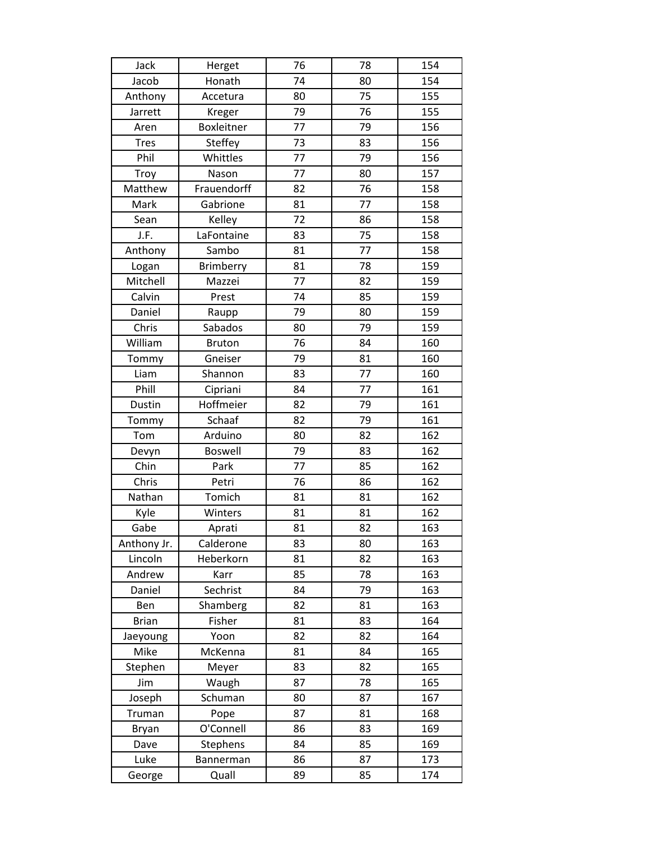| Jack         | Herget         | 76 | 78 | 154 |
|--------------|----------------|----|----|-----|
| Jacob        | Honath         | 74 | 80 | 154 |
| Anthony      | Accetura       | 80 | 75 | 155 |
| Jarrett      | Kreger         | 79 | 76 | 155 |
| Aren         | Boxleitner     | 77 | 79 | 156 |
| <b>Tres</b>  | Steffey        | 73 | 83 | 156 |
| Phil         | Whittles       | 77 | 79 | 156 |
| Troy         | Nason          | 77 | 80 | 157 |
| Matthew      | Frauendorff    | 82 | 76 | 158 |
| Mark         | Gabrione       | 81 | 77 | 158 |
| Sean         | Kelley         | 72 | 86 | 158 |
| J.F.         | LaFontaine     | 83 | 75 | 158 |
| Anthony      | Sambo          | 81 | 77 | 158 |
| Logan        | Brimberry      | 81 | 78 | 159 |
| Mitchell     | Mazzei         | 77 | 82 | 159 |
| Calvin       | Prest          | 74 | 85 | 159 |
| Daniel       | Raupp          | 79 | 80 | 159 |
| Chris        | Sabados        | 80 | 79 | 159 |
| William      | <b>Bruton</b>  | 76 | 84 | 160 |
| Tommy        | Gneiser        | 79 | 81 | 160 |
| Liam         | Shannon        | 83 | 77 | 160 |
| Phill        | Cipriani       | 84 | 77 | 161 |
| Dustin       | Hoffmeier      | 82 | 79 | 161 |
| Tommy        | Schaaf         | 82 | 79 | 161 |
| Tom          | Arduino        | 80 | 82 | 162 |
| Devyn        | <b>Boswell</b> | 79 | 83 | 162 |
| Chin         | Park           | 77 | 85 | 162 |
| Chris        | Petri          | 76 | 86 | 162 |
| Nathan       | Tomich         | 81 | 81 | 162 |
| Kyle         | Winters        | 81 | 81 | 162 |
| Gabe         | Aprati         | 81 | 82 | 163 |
| Anthony Jr.  | Calderone      | 83 | 80 | 163 |
| Lincoln      | Heberkorn      | 81 | 82 | 163 |
| Andrew       | Karr           | 85 | 78 | 163 |
| Daniel       | Sechrist       | 84 | 79 | 163 |
| Ben          | Shamberg       | 82 | 81 | 163 |
| <b>Brian</b> | Fisher         | 81 | 83 | 164 |
| Jaeyoung     | Yoon           | 82 | 82 | 164 |
| Mike         | McKenna        | 81 | 84 | 165 |
| Stephen      | Meyer          | 83 | 82 | 165 |
| Jim          | Waugh          | 87 | 78 | 165 |
| Joseph       | Schuman        | 80 | 87 | 167 |
| Truman       | Pope           | 87 | 81 | 168 |
| Bryan        | O'Connell      | 86 | 83 | 169 |
| Dave         | Stephens       | 84 | 85 | 169 |
| Luke         | Bannerman      | 86 | 87 | 173 |
| George       | Quall          | 89 | 85 | 174 |